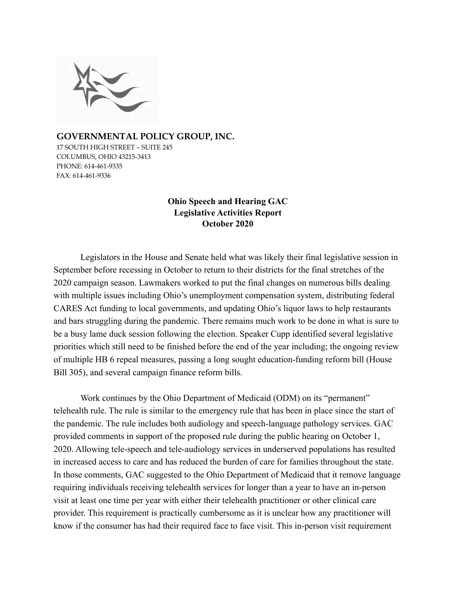

**GOVERNMENTAL POLICY GROUP, INC.**  17 SOUTH HIGH STREET – SUITE 245 COLUMBUS, OHIO 43215-3413 PHONE: 614-461-9335 FAX: 614-461-9336

# **Ohio Speech and Hearing GAC Legislative Activities Report October 2020**

Legislators in the House and Senate held what was likely their final legislative session in September before recessing in October to return to their districts for the final stretches of the 2020 campaign season. Lawmakers worked to put the final changes on numerous bills dealing with multiple issues including Ohio's unemployment compensation system, distributing federal CARES Act funding to local governments, and updating Ohio's liquor laws to help restaurants and bars struggling during the pandemic. There remains much work to be done in what is sure to be a busy lame duck session following the election. Speaker Cupp identified several legislative priorities which still need to be finished before the end of the year including; the ongoing review of multiple HB 6 repeal measures, passing a long sought education-funding reform bill (House Bill 305), and several campaign finance reform bills.

Work continues by the Ohio Department of Medicaid (ODM) on its "permanent" telehealth rule. The rule is similar to the emergency rule that has been in place since the start of the pandemic. The rule includes both audiology and speech-language pathology services. GAC provided comments in support of the proposed rule during the public hearing on October 1, 2020. Allowing tele-speech and tele-audiology services in underserved populations has resulted in increased access to care and has reduced the burden of care for families throughout the state. In those comments, GAC suggested to the Ohio Department of Medicaid that it remove language requiring individuals receiving telehealth services for longer than a year to have an in-person visit at least one time per year with either their telehealth practitioner or other clinical care provider. This requirement is practically cumbersome as it is unclear how any practitioner will know if the consumer has had their required face to face visit. This in-person visit requirement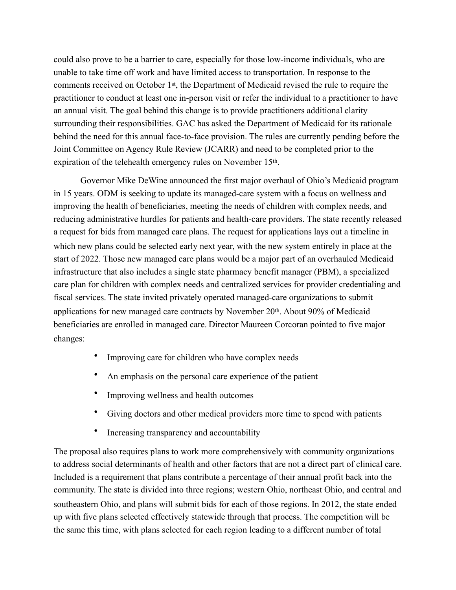could also prove to be a barrier to care, especially for those low-income individuals, who are unable to take time off work and have limited access to transportation. In response to the comments received on October 1st, the Department of Medicaid revised the rule to require the practitioner to conduct at least one in-person visit or refer the individual to a practitioner to have an annual visit. The goal behind this change is to provide practitioners additional clarity surrounding their responsibilities. GAC has asked the Department of Medicaid for its rationale behind the need for this annual face-to-face provision. The rules are currently pending before the Joint Committee on Agency Rule Review (JCARR) and need to be completed prior to the expiration of the telehealth emergency rules on November 15th.

Governor Mike DeWine announced the first major overhaul of Ohio's Medicaid program in 15 years. ODM is seeking to update its managed-care system with a focus on wellness and improving the health of beneficiaries, meeting the needs of children with complex needs, and reducing administrative hurdles for patients and health-care providers. The state recently released a request for bids from managed care plans. The request for applications lays out a timeline in which new plans could be selected early next year, with the new system entirely in place at the start of 2022. Those new managed care plans would be a major part of an overhauled Medicaid infrastructure that also includes a single state pharmacy benefit manager (PBM), a specialized care plan for children with complex needs and centralized services for provider credentialing and fiscal services. The state invited privately operated managed-care organizations to submit applications for new managed care contracts by November 20th. About 90% of Medicaid beneficiaries are enrolled in managed care. Director Maureen Corcoran pointed to five major changes:

- Improving care for children who have complex needs
- An emphasis on the personal care experience of the patient
- Improving wellness and health outcomes
- Giving doctors and other medical providers more time to spend with patients
- Increasing transparency and accountability

The proposal also requires plans to work more comprehensively with community organizations to address social determinants of health and other factors that are not a direct part of clinical care. Included is a requirement that plans contribute a percentage of their annual profit back into the community. The state is divided into three regions; western Ohio, northeast Ohio, and central and southeastern Ohio, and plans will submit bids for each of those regions. In 2012, the state ended up with five plans selected effectively statewide through that process. The competition will be the same this time, with plans selected for each region leading to a different number of total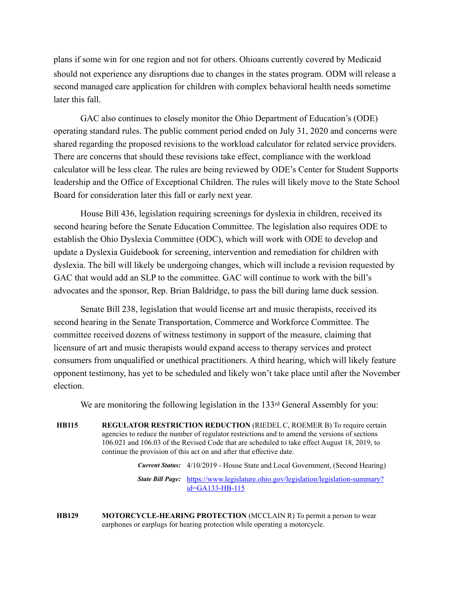plans if some win for one region and not for others. Ohioans currently covered by Medicaid should not experience any disruptions due to changes in the states program. ODM will release a second managed care application for children with complex behavioral health needs sometime later this fall.

GAC also continues to closely monitor the Ohio Department of Education's (ODE) operating standard rules. The public comment period ended on July 31, 2020 and concerns were shared regarding the proposed revisions to the workload calculator for related service providers. There are concerns that should these revisions take effect, compliance with the workload calculator will be less clear. The rules are being reviewed by ODE's Center for Student Supports leadership and the Office of Exceptional Children. The rules will likely move to the State School Board for consideration later this fall or early next year.

House Bill 436, legislation requiring screenings for dyslexia in children, received its second hearing before the Senate Education Committee. The legislation also requires ODE to establish the Ohio Dyslexia Committee (ODC), which will work with ODE to develop and update a Dyslexia Guidebook for screening, intervention and remediation for children with dyslexia. The bill will likely be undergoing changes, which will include a revision requested by GAC that would add an SLP to the committee. GAC will continue to work with the bill's advocates and the sponsor, Rep. Brian Baldridge, to pass the bill during lame duck session.

Senate Bill 238, legislation that would license art and music therapists, received its second hearing in the Senate Transportation, Commerce and Workforce Committee. The committee received dozens of witness testimony in support of the measure, claiming that licensure of art and music therapists would expand access to therapy services and protect consumers from unqualified or unethical practitioners. A third hearing, which will likely feature opponent testimony, has yet to be scheduled and likely won't take place until after the November election.

We are monitoring the following legislation in the 133<sup>rd</sup> General Assembly for you:

**HB115 REGULATOR RESTRICTION REDUCTION** (RIEDEL C, ROEMER B) To require certain agencies to reduce the number of regulator restrictions and to amend the versions of sections 106.021 and 106.03 of the Revised Code that are scheduled to take effect August 18, 2019, to continue the provision of this act on and after that effective date.

*Current Status:* 4/10/2019 - House State and Local Government, (Second Hearing)

*State Bill Page:* [https://www.legislature.ohio.gov/legislation/legislation-summary?](https://www.legislature.ohio.gov/legislation/legislation-summary?id=GA133-HB-115) id=GA133-HB-115

**HB129 MOTORCYCLE-HEARING PROTECTION** (MCCLAIN R) To permit a person to wear earphones or earplugs for hearing protection while operating a motorcycle.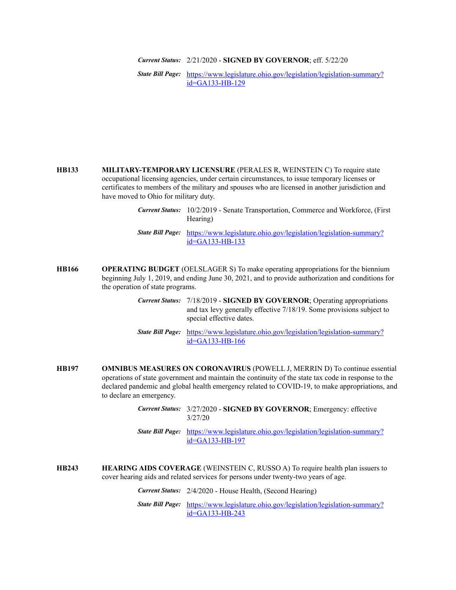*Current Status:* 2/21/2020 - **SIGNED BY GOVERNOR**; eff. 5/22/20

*State Bill Page:* [https://www.legislature.ohio.gov/legislation/legislation-summary?](https://www.legislature.ohio.gov/legislation/legislation-summary?id=GA133-HB-129) id=GA133-HB-129

**HB133 MILITARY-TEMPORARY LICENSURE** (PERALES R, WEINSTEIN C) To require state occupational licensing agencies, under certain circumstances, to issue temporary licenses or certificates to members of the military and spouses who are licensed in another jurisdiction and have moved to Ohio for military duty.

- **HB166 OPERATING BUDGET** (OELSLAGER S) To make operating appropriations for the biennium beginning July 1, 2019, and ending June 30, 2021, and to provide authorization and conditions for the operation of state programs.
	- *Current Status:* 7/18/2019 **SIGNED BY GOVERNOR**; Operating appropriations and tax levy generally effective 7/18/19. Some provisions subject to special effective dates.
	- *State Bill Page:* [https://www.legislature.ohio.gov/legislation/legislation-summary?](https://www.legislature.ohio.gov/legislation/legislation-summary?id=GA133-HB-166) id=GA133-HB-166
- **HB197 OMNIBUS MEASURES ON CORONAVIRUS** (POWELL J, MERRIN D) To continue essential operations of state government and maintain the continuity of the state tax code in response to the declared pandemic and global health emergency related to COVID-19, to make appropriations, and to declare an emergency.
	- *Current Status:* 3/27/2020 **SIGNED BY GOVERNOR**; Emergency: effective 3/27/20
	- *State Bill Page:* [https://www.legislature.ohio.gov/legislation/legislation-summary?](https://www.legislature.ohio.gov/legislation/legislation-summary?id=GA133-HB-197) id=GA133-HB-197
- **HB243 HEARING AIDS COVERAGE** (WEINSTEIN C, RUSSO A) To require health plan issuers to cover hearing aids and related services for persons under twenty-two years of age.

*Current Status:* 2/4/2020 - House Health, (Second Hearing)

*Current Status:* 10/2/2019 - Senate Transportation, Commerce and Workforce, (First Hearing)

*State Bill Page:* [https://www.legislature.ohio.gov/legislation/legislation-summary?](https://www.legislature.ohio.gov/legislation/legislation-summary?id=GA133-HB-133) id=GA133-HB-133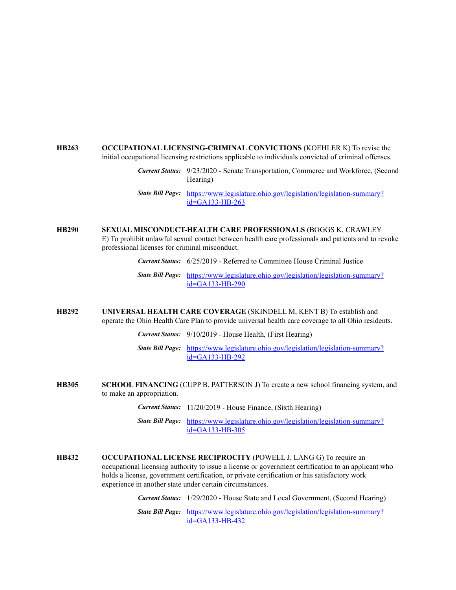#### **HB263 OCCUPATIONAL LICENSING-CRIMINAL CONVICTIONS** (KOEHLER K) To revise the initial occupational licensing restrictions applicable to individuals convicted of criminal offenses.

*Current Status:* 9/23/2020 - Senate Transportation, Commerce and Workforce, (Second Hearing)

*State Bill Page:* [https://www.legislature.ohio.gov/legislation/legislation-summary?](https://www.legislature.ohio.gov/legislation/legislation-summary?id=GA133-HB-263) id=GA133-HB-263

## **HB290 SEXUAL MISCONDUCT-HEALTH CARE PROFESSIONALS** (BOGGS K, CRAWLEY E) To prohibit unlawful sexual contact between health care professionals and patients and to revoke professional licenses for criminal misconduct.

*Current Status:* 6/25/2019 - Referred to Committee House Criminal Justice

*State Bill Page:* [https://www.legislature.ohio.gov/legislation/legislation-summary?](https://www.legislature.ohio.gov/legislation/legislation-summary?id=GA133-HB-290) id=GA133-HB-290

### **HB292 UNIVERSAL HEALTH CARE COVERAGE** (SKINDELL M, KENT B) To establish and operate the Ohio Health Care Plan to provide universal health care coverage to all Ohio residents.

- *Current Status:* 9/10/2019 House Health, (First Hearing)
- *State Bill Page:* [https://www.legislature.ohio.gov/legislation/legislation-summary?](https://www.legislature.ohio.gov/legislation/legislation-summary?id=GA133-HB-292) id=GA133-HB-292
- **HB305 SCHOOL FINANCING** (CUPP B, PATTERSON J) To create a new school financing system, and to make an appropriation.
	- *Current Status:* 11/20/2019 House Finance, (Sixth Hearing)
	- *State Bill Page:* [https://www.legislature.ohio.gov/legislation/legislation-summary?](https://www.legislature.ohio.gov/legislation/legislation-summary?id=GA133-HB-305) id=GA133-HB-305
- **HB432 OCCUPATIONAL LICENSE RECIPROCITY** (POWELL J, LANG G) To require an occupational licensing authority to issue a license or government certification to an applicant who holds a license, government certification, or private certification or has satisfactory work experience in another state under certain circumstances.

*Current Status:* 1/29/2020 - House State and Local Government, (Second Hearing)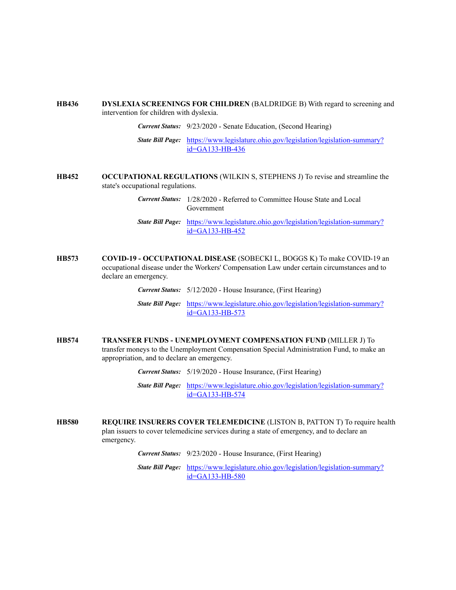#### **HB436 DYSLEXIA SCREENINGS FOR CHILDREN** (BALDRIDGE B) With regard to screening and intervention for children with dyslexia.

*Current Status:* 9/23/2020 - Senate Education, (Second Hearing)

*State Bill Page:* [https://www.legislature.ohio.gov/legislation/legislation-summary?](https://www.legislature.ohio.gov/legislation/legislation-summary?id=GA133-HB-436) id=GA133-HB-436

**HB452 OCCUPATIONAL REGULATIONS** (WILKIN S, STEPHENS J) To revise and streamline the state's occupational regulations.

> *Current Status:* 1/28/2020 - Referred to Committee House State and Local Government

- *State Bill Page:* [https://www.legislature.ohio.gov/legislation/legislation-summary?](https://www.legislature.ohio.gov/legislation/legislation-summary?id=GA133-HB-452) id=GA133-HB-452
- **HB573 COVID-19 OCCUPATIONAL DISEASE** (SOBECKI L, BOGGS K) To make COVID-19 an occupational disease under the Workers' Compensation Law under certain circumstances and to declare an emergency.

*Current Status:* 5/12/2020 - House Insurance, (First Hearing)

*State Bill Page:* [https://www.legislature.ohio.gov/legislation/legislation-summary?](https://www.legislature.ohio.gov/legislation/legislation-summary?id=GA133-HB-573) id=GA133-HB-573

**HB574 TRANSFER FUNDS - UNEMPLOYMENT COMPENSATION FUND** (MILLER J) To transfer moneys to the Unemployment Compensation Special Administration Fund, to make an appropriation, and to declare an emergency.

*Current Status:* 5/19/2020 - House Insurance, (First Hearing)

*State Bill Page:* [https://www.legislature.ohio.gov/legislation/legislation-summary?](https://www.legislature.ohio.gov/legislation/legislation-summary?id=GA133-HB-574) id=GA133-HB-574

**HB580 REQUIRE INSURERS COVER TELEMEDICINE** (LISTON B, PATTON T) To require health plan issuers to cover telemedicine services during a state of emergency, and to declare an emergency.

*Current Status:* 9/23/2020 - House Insurance, (First Hearing)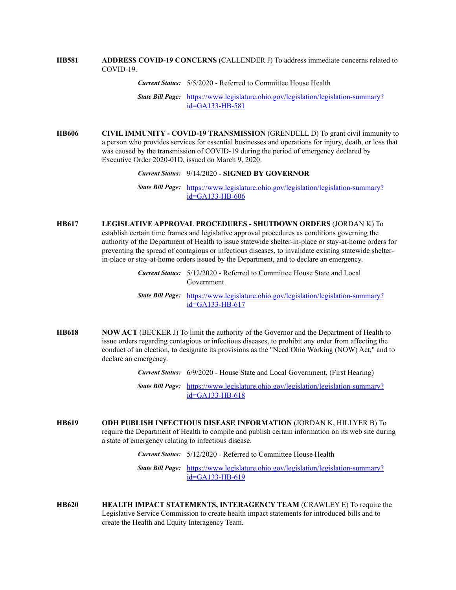**HB581 ADDRESS COVID-19 CONCERNS** (CALLENDER J) To address immediate concerns related to COVID-19.

*Current Status:* 5/5/2020 - Referred to Committee House Health

*State Bill Page:* [https://www.legislature.ohio.gov/legislation/legislation-summary?](https://www.legislature.ohio.gov/legislation/legislation-summary?id=GA133-HB-581) id=GA133-HB-581

**HB606 CIVIL IMMUNITY - COVID-19 TRANSMISSION** (GRENDELL D) To grant civil immunity to a person who provides services for essential businesses and operations for injury, death, or loss that was caused by the transmission of COVID-19 during the period of emergency declared by Executive Order 2020-01D, issued on March 9, 2020.

*Current Status:* 9/14/2020 - **SIGNED BY GOVERNOR**

*State Bill Page:* [https://www.legislature.ohio.gov/legislation/legislation-summary?](https://www.legislature.ohio.gov/legislation/legislation-summary?id=GA133-HB-606) id=GA133-HB-606

**HB617 LEGISLATIVE APPROVAL PROCEDURES - SHUTDOWN ORDERS** (JORDAN K) To establish certain time frames and legislative approval procedures as conditions governing the authority of the Department of Health to issue statewide shelter-in-place or stay-at-home orders for preventing the spread of contagious or infectious diseases, to invalidate existing statewide shelterin-place or stay-at-home orders issued by the Department, and to declare an emergency.

> *Current Status:* 5/12/2020 - Referred to Committee House State and Local Government

- *State Bill Page:* [https://www.legislature.ohio.gov/legislation/legislation-summary?](https://www.legislature.ohio.gov/legislation/legislation-summary?id=GA133-HB-617) id=GA133-HB-617
- **HB618 NOW ACT** (BECKER J) To limit the authority of the Governor and the Department of Health to issue orders regarding contagious or infectious diseases, to prohibit any order from affecting the conduct of an election, to designate its provisions as the "Need Ohio Working (NOW) Act," and to declare an emergency.

*Current Status:* 6/9/2020 - House State and Local Government, (First Hearing)

*State Bill Page:* [https://www.legislature.ohio.gov/legislation/legislation-summary?](https://www.legislature.ohio.gov/legislation/legislation-summary?id=GA133-HB-618) id=GA133-HB-618

**HB619 ODH PUBLISH INFECTIOUS DISEASE INFORMATION** (JORDAN K, HILLYER B) To require the Department of Health to compile and publish certain information on its web site during a state of emergency relating to infectious disease.

*Current Status:* 5/12/2020 - Referred to Committee House Health

**HB620 HEALTH IMPACT STATEMENTS, INTERAGENCY TEAM** (CRAWLEY E) To require the Legislative Service Commission to create health impact statements for introduced bills and to create the Health and Equity Interagency Team.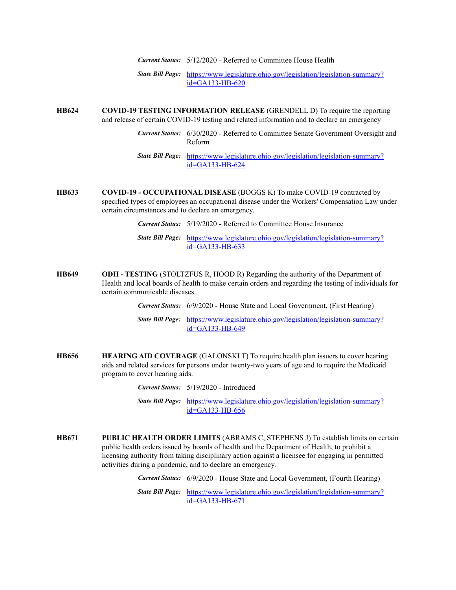*Current Status:* 5/12/2020 - Referred to Committee House Health

*State Bill Page:* [https://www.legislature.ohio.gov/legislation/legislation-summary?](https://www.legislature.ohio.gov/legislation/legislation-summary?id=GA133-HB-620) id=GA133-HB-620

**HB624 COVID-19 TESTING INFORMATION RELEASE** (GRENDELL D) To require the reporting and release of certain COVID-19 testing and related information and to declare an emergency

> *Current Status:* 6/30/2020 - Referred to Committee Senate Government Oversight and Reform

*State Bill Page:* [https://www.legislature.ohio.gov/legislation/legislation-summary?](https://www.legislature.ohio.gov/legislation/legislation-summary?id=GA133-HB-624) id=GA133-HB-624

- **HB633 COVID-19 OCCUPATIONAL DISEASE** (BOGGS K) To make COVID-19 contracted by specified types of employees an occupational disease under the Workers' Compensation Law under certain circumstances and to declare an emergency.
	- *Current Status:* 5/19/2020 Referred to Committee House Insurance
	- *State Bill Page:* [https://www.legislature.ohio.gov/legislation/legislation-summary?](https://www.legislature.ohio.gov/legislation/legislation-summary?id=GA133-HB-633) id=GA133-HB-633
- **HB649 ODH TESTING** (STOLTZFUS R, HOOD R) Regarding the authority of the Department of Health and local boards of health to make certain orders and regarding the testing of individuals for certain communicable diseases.

*Current Status:* 6/9/2020 - House State and Local Government, (First Hearing)

*State Bill Page:* [https://www.legislature.ohio.gov/legislation/legislation-summary?](https://www.legislature.ohio.gov/legislation/legislation-summary?id=GA133-HB-649) id=GA133-HB-649

- **HB656 HEARING AID COVERAGE** (GALONSKI T) To require health plan issuers to cover hearing aids and related services for persons under twenty-two years of age and to require the Medicaid program to cover hearing aids.
	- *Current Status:* 5/19/2020 Introduced
	- *State Bill Page:* [https://www.legislature.ohio.gov/legislation/legislation-summary?](https://www.legislature.ohio.gov/legislation/legislation-summary?id=GA133-HB-656) id=GA133-HB-656
- **HB671 PUBLIC HEALTH ORDER LIMITS** (ABRAMS C, STEPHENS J) To establish limits on certain public health orders issued by boards of health and the Department of Health, to prohibit a licensing authority from taking disciplinary action against a licensee for engaging in permitted activities during a pandemic, and to declare an emergency.

*Current Status:* 6/9/2020 - House State and Local Government, (Fourth Hearing)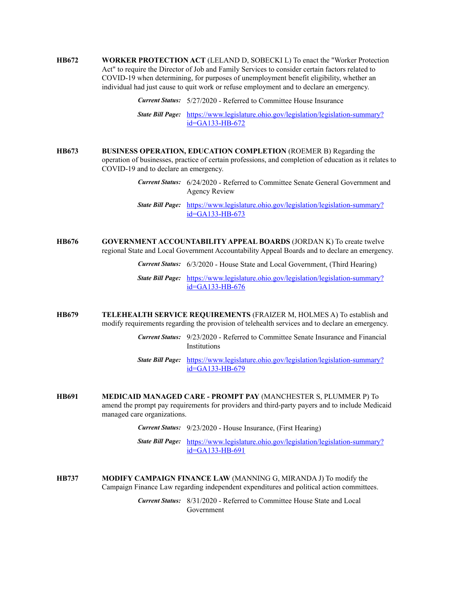**HB672 WORKER PROTECTION ACT** (LELAND D, SOBECKI L) To enact the "Worker Protection Act" to require the Director of Job and Family Services to consider certain factors related to COVID-19 when determining, for purposes of unemployment benefit eligibility, whether an individual had just cause to quit work or refuse employment and to declare an emergency.

*Current Status:* 5/27/2020 - Referred to Committee House Insurance

*State Bill Page:* [https://www.legislature.ohio.gov/legislation/legislation-summary?](https://www.legislature.ohio.gov/legislation/legislation-summary?id=GA133-HB-672) id=GA133-HB-672

- **HB673 BUSINESS OPERATION, EDUCATION COMPLETION** (ROEMER B) Regarding the operation of businesses, practice of certain professions, and completion of education as it relates to COVID-19 and to declare an emergency.
	- *Current Status:* 6/24/2020 Referred to Committee Senate General Government and Agency Review
	- *State Bill Page:* [https://www.legislature.ohio.gov/legislation/legislation-summary?](https://www.legislature.ohio.gov/legislation/legislation-summary?id=GA133-HB-673) id=GA133-HB-673
- **HB676 GOVERNMENT ACCOUNTABILITY APPEAL BOARDS** (JORDAN K) To create twelve regional State and Local Government Accountability Appeal Boards and to declare an emergency.

*Current Status:* 6/3/2020 - House State and Local Government, (Third Hearing)

- *State Bill Page:* [https://www.legislature.ohio.gov/legislation/legislation-summary?](https://www.legislature.ohio.gov/legislation/legislation-summary?id=GA133-HB-676) id=GA133-HB-676
- **HB679 TELEHEALTH SERVICE REQUIREMENTS** (FRAIZER M, HOLMES A) To establish and modify requirements regarding the provision of telehealth services and to declare an emergency.
	- *Current Status:* 9/23/2020 Referred to Committee Senate Insurance and Financial **Institutions**
	- *State Bill Page:* [https://www.legislature.ohio.gov/legislation/legislation-summary?](https://www.legislature.ohio.gov/legislation/legislation-summary?id=GA133-HB-679) id=GA133-HB-679
- **HB691 MEDICAID MANAGED CARE PROMPT PAY** (MANCHESTER S, PLUMMER P) To amend the prompt pay requirements for providers and third-party payers and to include Medicaid managed care organizations.
	- *Current Status:* 9/23/2020 House Insurance, (First Hearing)

*State Bill Page:* [https://www.legislature.ohio.gov/legislation/legislation-summary?](https://www.legislature.ohio.gov/legislation/legislation-summary?id=GA133-HB-691) id=GA133-HB-691

**HB737 MODIFY CAMPAIGN FINANCE LAW** (MANNING G, MIRANDA J) To modify the Campaign Finance Law regarding independent expenditures and political action committees.

> *Current Status:* 8/31/2020 - Referred to Committee House State and Local Government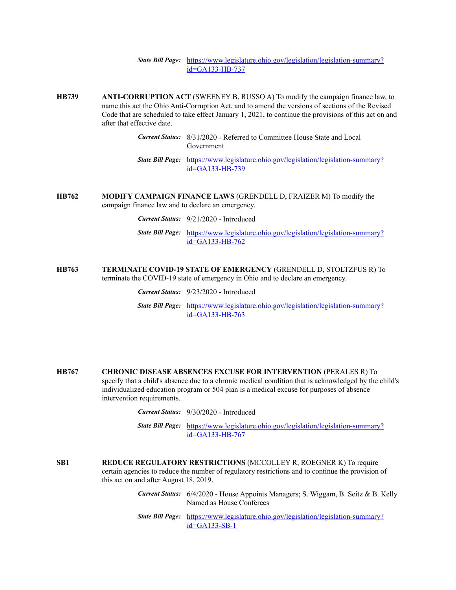- **HB739 ANTI-CORRUPTION ACT** (SWEENEY B, RUSSO A) To modify the campaign finance law, to name this act the Ohio Anti-Corruption Act, and to amend the versions of sections of the Revised Code that are scheduled to take effect January 1, 2021, to continue the provisions of this act on and after that effective date.
	- *Current Status:* 8/31/2020 Referred to Committee House State and Local Government
	- *State Bill Page:* [https://www.legislature.ohio.gov/legislation/legislation-summary?](https://www.legislature.ohio.gov/legislation/legislation-summary?id=GA133-HB-739) id=GA133-HB-739
- **HB762 MODIFY CAMPAIGN FINANCE LAWS** (GRENDELL D, FRAIZER M) To modify the campaign finance law and to declare an emergency.
	- *Current Status:* 9/21/2020 Introduced
	- *State Bill Page:* [https://www.legislature.ohio.gov/legislation/legislation-summary?](https://www.legislature.ohio.gov/legislation/legislation-summary?id=GA133-HB-762) id=GA133-HB-762
- **HB763 TERMINATE COVID-19 STATE OF EMERGENCY** (GRENDELL D, STOLTZFUS R) To terminate the COVID-19 state of emergency in Ohio and to declare an emergency.
	- *Current Status:* 9/23/2020 Introduced
	- *State Bill Page:* [https://www.legislature.ohio.gov/legislation/legislation-summary?](https://www.legislature.ohio.gov/legislation/legislation-summary?id=GA133-HB-763) id=GA133-HB-763
- **HB767 CHRONIC DISEASE ABSENCES EXCUSE FOR INTERVENTION** (PERALES R) To specify that a child's absence due to a chronic medical condition that is acknowledged by the child's individualized education program or 504 plan is a medical excuse for purposes of absence intervention requirements.
	- *Current Status:* 9/30/2020 Introduced
	- *State Bill Page:* [https://www.legislature.ohio.gov/legislation/legislation-summary?](https://www.legislature.ohio.gov/legislation/legislation-summary?id=GA133-HB-767) id=GA133-HB-767
- **SB1 REDUCE REGULATORY RESTRICTIONS** (MCCOLLEY R, ROEGNER K) To require certain agencies to reduce the number of regulatory restrictions and to continue the provision of this act on and after August 18, 2019.
	- *Current Status:* 6/4/2020 House Appoints Managers; S. Wiggam, B. Seitz & B. Kelly Named as House Conferees
	- *State Bill Page:* [https://www.legislature.ohio.gov/legislation/legislation-summary?](https://www.legislature.ohio.gov/legislation/legislation-summary?id=GA133-SB-1) id=GA133-SB-1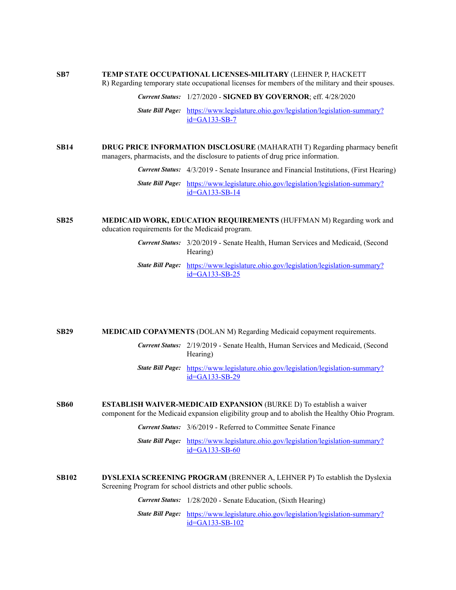## **SB7 TEMP STATE OCCUPATIONAL LICENSES-MILITARY** (LEHNER P, HACKETT

R) Regarding temporary state occupational licenses for members of the military and their spouses.

*Current Status:* 1/27/2020 - **SIGNED BY GOVERNOR**; eff. 4/28/2020 *State Bill Page:* [https://www.legislature.ohio.gov/legislation/legislation-summary?](https://www.legislature.ohio.gov/legislation/legislation-summary?id=GA133-SB-7) id=GA133-SB-7

**SB14 DRUG PRICE INFORMATION DISCLOSURE** (MAHARATH T) Regarding pharmacy benefit managers, pharmacists, and the disclosure to patients of drug price information.

*Current Status:* 4/3/2019 - Senate Insurance and Financial Institutions, (First Hearing)

*State Bill Page:* [https://www.legislature.ohio.gov/legislation/legislation-summary?](https://www.legislature.ohio.gov/legislation/legislation-summary?id=GA133-SB-14) id=GA133-SB-14

- **SB25 MEDICAID WORK, EDUCATION REQUIREMENTS** (HUFFMAN M) Regarding work and education requirements for the Medicaid program.
	- *Current Status:* 3/20/2019 Senate Health, Human Services and Medicaid, (Second Hearing)
	- *State Bill Page:* [https://www.legislature.ohio.gov/legislation/legislation-summary?](https://www.legislature.ohio.gov/legislation/legislation-summary?id=GA133-SB-25) id=GA133-SB-25

**SB29 MEDICAID COPAYMENTS** (DOLAN M) Regarding Medicaid copayment requirements.

- *Current Status:* 2/19/2019 Senate Health, Human Services and Medicaid, (Second Hearing)
- *State Bill Page:* [https://www.legislature.ohio.gov/legislation/legislation-summary?](https://www.legislature.ohio.gov/legislation/legislation-summary?id=GA133-SB-29) id=GA133-SB-29
- **SB60 ESTABLISH WAIVER-MEDICAID EXPANSION** (BURKE D) To establish a waiver component for the Medicaid expansion eligibility group and to abolish the Healthy Ohio Program.
	- *Current Status:* 3/6/2019 Referred to Committee Senate Finance
	- *State Bill Page:* [https://www.legislature.ohio.gov/legislation/legislation-summary?](https://www.legislature.ohio.gov/legislation/legislation-summary?id=GA133-SB-60) id=GA133-SB-60
- **SB102 DYSLEXIA SCREENING PROGRAM** (BRENNER A, LEHNER P) To establish the Dyslexia Screening Program for school districts and other public schools.

*Current Status:* 1/28/2020 - Senate Education, (Sixth Hearing)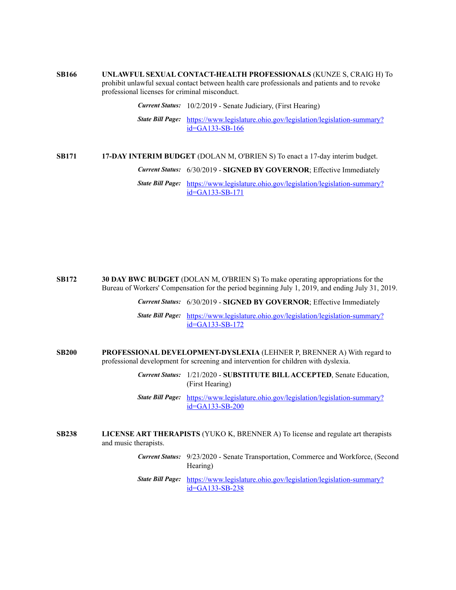**SB166 UNLAWFUL SEXUAL CONTACT-HEALTH PROFESSIONALS** (KUNZE S, CRAIG H) To prohibit unlawful sexual contact between health care professionals and patients and to revoke professional licenses for criminal misconduct.

*Current Status:* 10/2/2019 - Senate Judiciary, (First Hearing)

*State Bill Page:* [https://www.legislature.ohio.gov/legislation/legislation-summary?](https://www.legislature.ohio.gov/legislation/legislation-summary?id=GA133-SB-166) id=GA133-SB-166

**SB171 17-DAY INTERIM BUDGET** (DOLAN M, O'BRIEN S) To enact a 17-day interim budget. *Current Status:* 6/30/2019 - **SIGNED BY GOVERNOR**; Effective Immediately *State Bill Page:* [https://www.legislature.ohio.gov/legislation/legislation-summary?](https://www.legislature.ohio.gov/legislation/legislation-summary?id=GA133-SB-171) id=GA133-SB-171

**SB172 30 DAY BWC BUDGET** (DOLAN M, O'BRIEN S) To make operating appropriations for the Bureau of Workers' Compensation for the period beginning July 1, 2019, and ending July 31, 2019.

*Current Status:* 6/30/2019 - **SIGNED BY GOVERNOR**; Effective Immediately

*State Bill Page:* [https://www.legislature.ohio.gov/legislation/legislation-summary?](https://www.legislature.ohio.gov/legislation/legislation-summary?id=GA133-SB-172) id=GA133-SB-172

**SB200 PROFESSIONAL DEVELOPMENT-DYSLEXIA** (LEHNER P, BRENNER A) With regard to professional development for screening and intervention for children with dyslexia.

> *Current Status:* 1/21/2020 - **SUBSTITUTE BILL ACCEPTED**, Senate Education, (First Hearing)

- *State Bill Page:* [https://www.legislature.ohio.gov/legislation/legislation-summary?](https://www.legislature.ohio.gov/legislation/legislation-summary?id=GA133-SB-200) id=GA133-SB-200
- **SB238 LICENSE ART THERAPISTS** (YUKO K, BRENNER A) To license and regulate art therapists and music therapists.
	- *Current Status:* 9/23/2020 Senate Transportation, Commerce and Workforce, (Second Hearing)
	- *State Bill Page:* [https://www.legislature.ohio.gov/legislation/legislation-summary?](https://www.legislature.ohio.gov/legislation/legislation-summary?id=GA133-SB-238) id=GA133-SB-238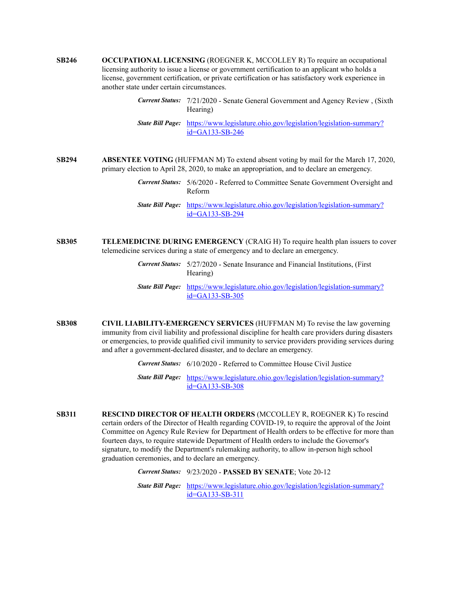- **SB246 OCCUPATIONAL LICENSING** (ROEGNER K, MCCOLLEY R) To require an occupational licensing authority to issue a license or government certification to an applicant who holds a license, government certification, or private certification or has satisfactory work experience in another state under certain circumstances.
	- *Current Status:* 7/21/2020 Senate General Government and Agency Review , (Sixth Hearing)
	- *State Bill Page:* [https://www.legislature.ohio.gov/legislation/legislation-summary?](https://www.legislature.ohio.gov/legislation/legislation-summary?id=GA133-SB-246) id=GA133-SB-246
- **SB294 ABSENTEE VOTING** (HUFFMAN M) To extend absent voting by mail for the March 17, 2020, primary election to April 28, 2020, to make an appropriation, and to declare an emergency.
	- *Current Status:* 5/6/2020 Referred to Committee Senate Government Oversight and Reform
	- *State Bill Page:* [https://www.legislature.ohio.gov/legislation/legislation-summary?](https://www.legislature.ohio.gov/legislation/legislation-summary?id=GA133-SB-294) id=GA133-SB-294
- **SB305 TELEMEDICINE DURING EMERGENCY** (CRAIG H) To require health plan issuers to cover telemedicine services during a state of emergency and to declare an emergency.
	- *Current Status:* 5/27/2020 Senate Insurance and Financial Institutions, (First Hearing)
	- *State Bill Page:* [https://www.legislature.ohio.gov/legislation/legislation-summary?](https://www.legislature.ohio.gov/legislation/legislation-summary?id=GA133-SB-305) id=GA133-SB-305
- **SB308 CIVIL LIABILITY-EMERGENCY SERVICES** (HUFFMAN M) To revise the law governing immunity from civil liability and professional discipline for health care providers during disasters or emergencies, to provide qualified civil immunity to service providers providing services during and after a government-declared disaster, and to declare an emergency.

*Current Status:* 6/10/2020 - Referred to Committee House Civil Justice

- *State Bill Page:* [https://www.legislature.ohio.gov/legislation/legislation-summary?](https://www.legislature.ohio.gov/legislation/legislation-summary?id=GA133-SB-308) id=GA133-SB-308
- **SB311 RESCIND DIRECTOR OF HEALTH ORDERS** (MCCOLLEY R, ROEGNER K) To rescind certain orders of the Director of Health regarding COVID-19, to require the approval of the Joint Committee on Agency Rule Review for Department of Health orders to be effective for more than fourteen days, to require statewide Department of Health orders to include the Governor's signature, to modify the Department's rulemaking authority, to allow in-person high school graduation ceremonies, and to declare an emergency.

*Current Status:* 9/23/2020 - **PASSED BY SENATE**; Vote 20-12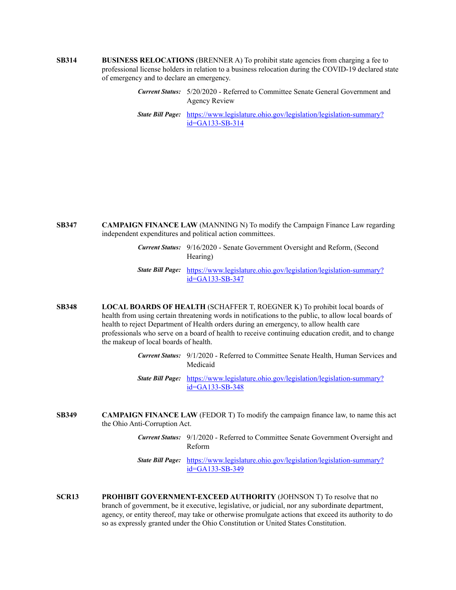- **SB314 BUSINESS RELOCATIONS** (BRENNER A) To prohibit state agencies from charging a fee to professional license holders in relation to a business relocation during the COVID-19 declared state of emergency and to declare an emergency.
	- *Current Status:* 5/20/2020 Referred to Committee Senate General Government and Agency Review
	- *State Bill Page:* [https://www.legislature.ohio.gov/legislation/legislation-summary?](https://www.legislature.ohio.gov/legislation/legislation-summary?id=GA133-SB-314) id=GA133-SB-314

- **SB347 CAMPAIGN FINANCE LAW** (MANNING N) To modify the Campaign Finance Law regarding independent expenditures and political action committees.
	- *Current Status:* 9/16/2020 Senate Government Oversight and Reform, (Second Hearing)
	- *State Bill Page:* [https://www.legislature.ohio.gov/legislation/legislation-summary?](https://www.legislature.ohio.gov/legislation/legislation-summary?id=GA133-SB-347) id=GA133-SB-347
- **SB348 LOCAL BOARDS OF HEALTH** (SCHAFFER T, ROEGNER K) To prohibit local boards of health from using certain threatening words in notifications to the public, to allow local boards of health to reject Department of Health orders during an emergency, to allow health care professionals who serve on a board of health to receive continuing education credit, and to change the makeup of local boards of health.
	- *Current Status:* 9/1/2020 Referred to Committee Senate Health, Human Services and Medicaid
	- *State Bill Page:* [https://www.legislature.ohio.gov/legislation/legislation-summary?](https://www.legislature.ohio.gov/legislation/legislation-summary?id=GA133-SB-348) id=GA133-SB-348
- **SB349 CAMPAIGN FINANCE LAW** (FEDOR T) To modify the campaign finance law, to name this act the Ohio Anti-Corruption Act.
	- *Current Status:* 9/1/2020 Referred to Committee Senate Government Oversight and Reform
	- *State Bill Page:* [https://www.legislature.ohio.gov/legislation/legislation-summary?](https://www.legislature.ohio.gov/legislation/legislation-summary?id=GA133-SB-349) id=GA133-SB-349
- **SCR13 PROHIBIT GOVERNMENT-EXCEED AUTHORITY** (JOHNSON T) To resolve that no branch of government, be it executive, legislative, or judicial, nor any subordinate department, agency, or entity thereof, may take or otherwise promulgate actions that exceed its authority to do so as expressly granted under the Ohio Constitution or United States Constitution.